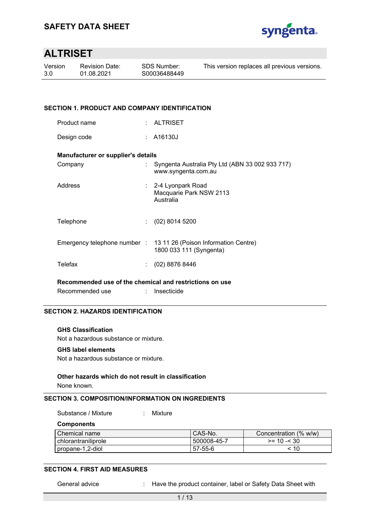

| Version | <b>Revision Date:</b> | SDS Number:  | This version replaces all previous versions. |
|---------|-----------------------|--------------|----------------------------------------------|
| 3.0     | 01.08.2021            | S00036488449 |                                              |
|         |                       |              |                                              |

## **SECTION 1. PRODUCT AND COMPANY IDENTIFICATION**

| <b>ALTRISET</b><br>Product name |  |
|---------------------------------|--|
|---------------------------------|--|

Design code : A16130J

#### **Manufacturer or supplier's details**

| Company   | : Syngenta Australia Pty Ltd (ABN 33 002 933 717)<br>www.syngenta.com.au                     |
|-----------|----------------------------------------------------------------------------------------------|
| Address   | : 2-4 Lyonpark Road<br>Macquarie Park NSW 2113<br>Australia                                  |
| Telephone | $(02)$ 8014 5200                                                                             |
|           | Emergency telephone number : 13 11 26 (Poison Information Centre)<br>1800 033 111 (Syngenta) |
| Telefax   | (02) 8876 8446                                                                               |

**Recommended use of the chemical and restrictions on use** 

Recommended use : Insecticide

## **SECTION 2. HAZARDS IDENTIFICATION**

### **GHS Classification**

Not a hazardous substance or mixture.

#### **GHS label elements**

Not a hazardous substance or mixture.

### **Other hazards which do not result in classification**

None known.

# **SECTION 3. COMPOSITION/INFORMATION ON INGREDIENTS**

Substance / Mixture : Mixture

**Components** 

| Chemical name         | CAS-No.     | Concentration (% w/w) |
|-----------------------|-------------|-----------------------|
| l chlorantraniliprole | 500008-45-7 | $>= 10 - 530$         |
| propane-1,2-diol      | 57-55-6     | 10                    |

### **SECTION 4. FIRST AID MEASURES**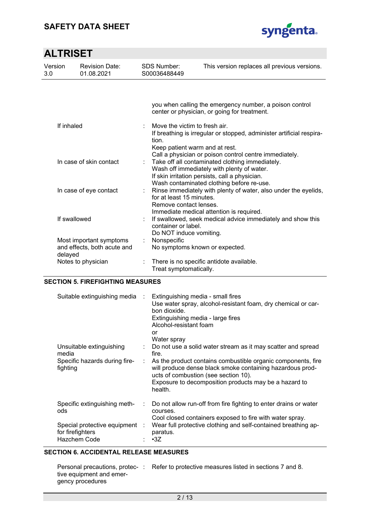# **SAFETY DATA SHEET**



| <b>ALTRISET</b>                                                   |                                     |                                                                                                                                                                                                            |                                                                                                                                                                                              |  |  |  |
|-------------------------------------------------------------------|-------------------------------------|------------------------------------------------------------------------------------------------------------------------------------------------------------------------------------------------------------|----------------------------------------------------------------------------------------------------------------------------------------------------------------------------------------------|--|--|--|
| Version<br>3.0                                                    | <b>Revision Date:</b><br>01.08.2021 | <b>SDS Number:</b><br>S00036488449                                                                                                                                                                         | This version replaces all previous versions.                                                                                                                                                 |  |  |  |
|                                                                   |                                     |                                                                                                                                                                                                            | you when calling the emergency number, a poison control<br>center or physician, or going for treatment.                                                                                      |  |  |  |
| If inhaled                                                        |                                     | Move the victim to fresh air.<br>If breathing is irregular or stopped, administer artificial respira-<br>tion.<br>Keep patient warm and at rest.<br>Call a physician or poison control centre immediately. |                                                                                                                                                                                              |  |  |  |
| In case of skin contact                                           |                                     | ÷                                                                                                                                                                                                          | Take off all contaminated clothing immediately.<br>Wash off immediately with plenty of water.<br>If skin irritation persists, call a physician.<br>Wash contaminated clothing before re-use. |  |  |  |
| In case of eye contact                                            |                                     | ÷.<br>for at least 15 minutes.<br>Remove contact lenses.                                                                                                                                                   | Rinse immediately with plenty of water, also under the eyelids,<br>Immediate medical attention is required.                                                                                  |  |  |  |
| If swallowed                                                      |                                     |                                                                                                                                                                                                            | If swallowed, seek medical advice immediately and show this<br>container or label.<br>Do NOT induce vomiting.                                                                                |  |  |  |
| Most important symptoms<br>and effects, both acute and<br>delayed |                                     | Nonspecific<br>t.                                                                                                                                                                                          | No symptoms known or expected.                                                                                                                                                               |  |  |  |
| Notes to physician                                                |                                     |                                                                                                                                                                                                            | There is no specific antidote available.<br>Treat symptomatically.                                                                                                                           |  |  |  |

### **SECTION 5. FIREFIGHTING MEASURES**

| Suitable extinguishing media                                       | Extinguishing media - small fires<br>Use water spray, alcohol-resistant foam, dry chemical or car-<br>bon dioxide.<br>Extinguishing media - large fires<br>Alcohol-resistant foam<br>or<br>Water spray                                |
|--------------------------------------------------------------------|---------------------------------------------------------------------------------------------------------------------------------------------------------------------------------------------------------------------------------------|
| Unsuitable extinguishing<br>media                                  | Do not use a solid water stream as it may scatter and spread<br>fire.                                                                                                                                                                 |
| Specific hazards during fire-<br>fighting                          | As the product contains combustible organic components, fire<br>will produce dense black smoke containing hazardous prod-<br>ucts of combustion (see section 10).<br>Exposure to decomposition products may be a hazard to<br>health. |
| Specific extinguishing meth-<br>ods                                | Do not allow run-off from fire fighting to enter drains or water<br>courses.<br>Cool closed containers exposed to fire with water spray.                                                                                              |
| Special protective equipment :<br>for firefighters<br>Hazchem Code | Wear full protective clothing and self-contained breathing ap-<br>paratus.<br>$\cdot$ 3Z                                                                                                                                              |

# **SECTION 6. ACCIDENTAL RELEASE MEASURES**

|                          | Personal precautions, protec-: Refer to protective measures listed in sections 7 and 8. |
|--------------------------|-----------------------------------------------------------------------------------------|
| tive equipment and emer- |                                                                                         |
| gency procedures         |                                                                                         |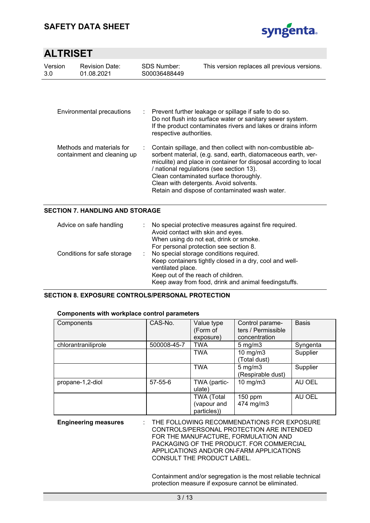

| Version<br>3.0                                           | <b>Revision Date:</b><br>01.08.2021 |    | SDS Number:<br>S00036488449 | This version replaces all previous versions.                                                                                                                                                                                                                                                                                                                                       |
|----------------------------------------------------------|-------------------------------------|----|-----------------------------|------------------------------------------------------------------------------------------------------------------------------------------------------------------------------------------------------------------------------------------------------------------------------------------------------------------------------------------------------------------------------------|
| Environmental precautions                                |                                     | ÷. | respective authorities.     | Prevent further leakage or spillage if safe to do so.<br>Do not flush into surface water or sanitary sewer system.<br>If the product contaminates rivers and lakes or drains inform                                                                                                                                                                                                |
| Methods and materials for<br>containment and cleaning up |                                     |    |                             | Contain spillage, and then collect with non-combustible ab-<br>sorbent material, (e.g. sand, earth, diatomaceous earth, ver-<br>miculite) and place in container for disposal according to local<br>/ national regulations (see section 13).<br>Clean contaminated surface thoroughly.<br>Clean with detergents. Avoid solvents.<br>Retain and dispose of contaminated wash water. |

# **SECTION 7. HANDLING AND STORAGE**

| Advice on safe handling     | No special protective measures against fire required.<br>Avoid contact with skin and eyes.<br>When using do not eat, drink or smoke.<br>For personal protection see section 8.                                        |
|-----------------------------|-----------------------------------------------------------------------------------------------------------------------------------------------------------------------------------------------------------------------|
| Conditions for safe storage | No special storage conditions required.<br>Keep containers tightly closed in a dry, cool and well-<br>ventilated place.<br>Keep out of the reach of children.<br>Keep away from food, drink and animal feedingstuffs. |

### **SECTION 8. EXPOSURE CONTROLS/PERSONAL PROTECTION**

| <b>OUTBONUME WILL WOLFFIGOU OUTED PULATIONS</b> |             |                                                 |                                                        |              |  |  |  |
|-------------------------------------------------|-------------|-------------------------------------------------|--------------------------------------------------------|--------------|--|--|--|
| Components                                      | CAS-No.     | Value type<br>(Form of<br>exposure)             | Control parame-<br>ters / Permissible<br>concentration | <b>Basis</b> |  |  |  |
| chlorantraniliprole                             | 500008-45-7 | <b>TWA</b>                                      | $5 \text{ mg/m}$                                       | Syngenta     |  |  |  |
|                                                 |             | <b>TWA</b>                                      | $10 \text{ mg/m}$<br>(Total dust)                      | Supplier     |  |  |  |
|                                                 |             | <b>TWA</b>                                      | $5 \text{ mg/m}$<br>(Respirable dust)                  | Supplier     |  |  |  |
| propane-1,2-diol                                | 57-55-6     | TWA (partic-<br>ulate)                          | 10 mg/m $3$                                            | AU OEL       |  |  |  |
|                                                 |             | <b>TWA (Total</b><br>(vapour and<br>particles)) | $150$ ppm<br>474 mg/m3                                 | AU OEL       |  |  |  |

# **Components with workplace control parameters**

| <b>Engineering measures</b> | : THE FOLLOWING RECOMMENDATIONS FOR EXPOSURE<br>CONTROLS/PERSONAL PROTECTION ARE INTENDED |
|-----------------------------|-------------------------------------------------------------------------------------------|
|                             | FOR THE MANUFACTURE. FORMULATION AND<br>PACKAGING OF THE PRODUCT. FOR COMMERCIAL          |
|                             | APPLICATIONS AND/OR ON-FARM APPLICATIONS<br>CONSULT THE PRODUCT LABEL.                    |

Containment and/or segregation is the most reliable technical protection measure if exposure cannot be eliminated.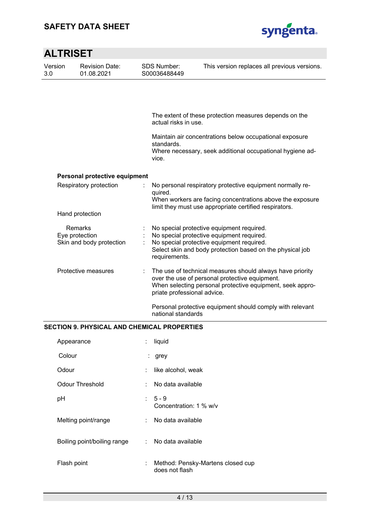

| <b>ALTRISET</b>        |                                                       |                                    |                                                                                                                                                                                                         |  |  |  |  |
|------------------------|-------------------------------------------------------|------------------------------------|---------------------------------------------------------------------------------------------------------------------------------------------------------------------------------------------------------|--|--|--|--|
| Version<br>3.0         | <b>Revision Date:</b><br>01.08.2021                   | <b>SDS Number:</b><br>S00036488449 | This version replaces all previous versions.                                                                                                                                                            |  |  |  |  |
|                        |                                                       |                                    |                                                                                                                                                                                                         |  |  |  |  |
|                        |                                                       | actual risks in use.               | The extent of these protection measures depends on the                                                                                                                                                  |  |  |  |  |
|                        |                                                       | standards.                         | Maintain air concentrations below occupational exposure                                                                                                                                                 |  |  |  |  |
|                        |                                                       | vice.                              | Where necessary, seek additional occupational hygiene ad-                                                                                                                                               |  |  |  |  |
|                        | Personal protective equipment                         |                                    |                                                                                                                                                                                                         |  |  |  |  |
| Respiratory protection |                                                       | quired.                            | No personal respiratory protective equipment normally re-<br>When workers are facing concentrations above the exposure                                                                                  |  |  |  |  |
|                        | Hand protection                                       |                                    | limit they must use appropriate certified respirators.                                                                                                                                                  |  |  |  |  |
|                        | Remarks<br>Eye protection<br>Skin and body protection | requirements.                      | No special protective equipment required.<br>No special protective equipment required.<br>No special protective equipment required.<br>Select skin and body protection based on the physical job        |  |  |  |  |
|                        | Protective measures                                   |                                    | The use of technical measures should always have priority<br>over the use of personal protective equipment.<br>When selecting personal protective equipment, seek appro-<br>priate professional advice. |  |  |  |  |
|                        |                                                       | national standards                 | Personal protective equipment should comply with relevant                                                                                                                                               |  |  |  |  |
|                        | RECTION A DUVEICAL AND CUEMICAL DRODERTIER            |                                    |                                                                                                                                                                                                         |  |  |  |  |

### **SECTION 9. PHYSICAL AND CHEMICAL PROPERTIES**

| Appearance                  | ÷  | liquid                                              |
|-----------------------------|----|-----------------------------------------------------|
| Colour                      | t. | grey                                                |
| Odour                       | ÷. | like alcohol, weak                                  |
| <b>Odour Threshold</b>      | ÷  | No data available                                   |
| pH                          |    | $: 5 - 9$<br>Concentration: 1 % w/v                 |
| Melting point/range         |    | : No data available                                 |
| Boiling point/boiling range |    | : No data available                                 |
| Flash point                 | ÷  | Method: Pensky-Martens closed cup<br>does not flash |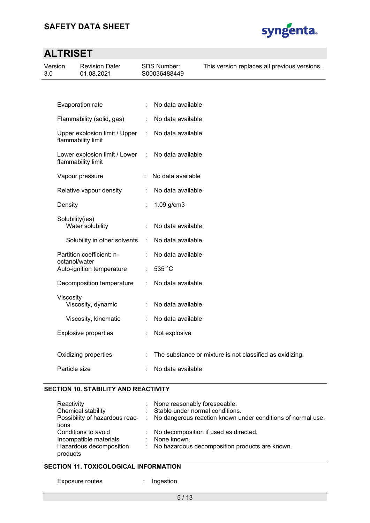

| Version<br>3.0 |                 | <b>Revision Date:</b><br>01.08.2021                 |   | SDS Number:<br>S00036488449 | This version replaces all previous versions.             |
|----------------|-----------------|-----------------------------------------------------|---|-----------------------------|----------------------------------------------------------|
|                |                 |                                                     |   |                             |                                                          |
|                |                 | Evaporation rate                                    | ÷ | No data available           |                                                          |
|                |                 | Flammability (solid, gas)                           | ÷ | No data available           |                                                          |
|                |                 | Upper explosion limit / Upper<br>flammability limit | ÷ | No data available           |                                                          |
|                |                 | Lower explosion limit / Lower<br>flammability limit | ÷ | No data available           |                                                          |
|                |                 | Vapour pressure                                     |   | No data available           |                                                          |
|                |                 | Relative vapour density                             | ÷ | No data available           |                                                          |
|                | Density         |                                                     |   | 1.09 g/cm3                  |                                                          |
|                | Solubility(ies) | Water solubility                                    | ÷ | No data available           |                                                          |
|                |                 | Solubility in other solvents                        | ÷ | No data available           |                                                          |
|                | octanol/water   | Partition coefficient: n-                           |   | No data available           |                                                          |
|                |                 | Auto-ignition temperature                           | ÷ | 535 °C                      |                                                          |
|                |                 | Decomposition temperature                           | ÷ | No data available           |                                                          |
|                | Viscosity       | Viscosity, dynamic                                  |   | No data available           |                                                          |
|                |                 | Viscosity, kinematic                                |   | No data available           |                                                          |
|                |                 | <b>Explosive properties</b>                         | ÷ | Not explosive               |                                                          |
|                |                 | Oxidizing properties                                |   |                             | The substance or mixture is not classified as oxidizing. |
|                | Particle size   |                                                     |   | No data available           |                                                          |

### **SECTION 10. STABILITY AND REACTIVITY**

| Reactivity              | : None reasonably foreseeable.                                                               |
|-------------------------|----------------------------------------------------------------------------------------------|
| Chemical stability      | : Stable under normal conditions.                                                            |
|                         | Possibility of hazardous reac- : No dangerous reaction known under conditions of normal use. |
| tions                   |                                                                                              |
| Conditions to avoid     | : No decomposition if used as directed.                                                      |
| Incompatible materials  | : None known.                                                                                |
| Hazardous decomposition | : No hazardous decomposition products are known.                                             |
| products                |                                                                                              |

# **SECTION 11. TOXICOLOGICAL INFORMATION**

Exposure routes : Ingestion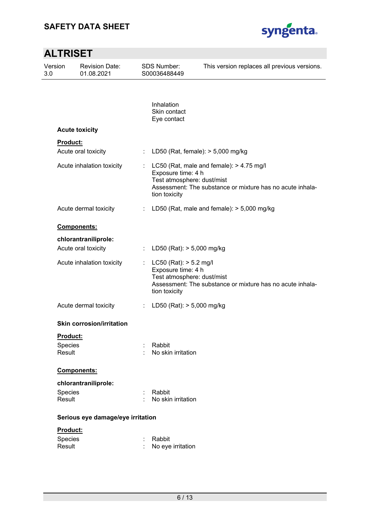

| <b>ALTRISET</b> |                               |                                     |    |                                                                                                 |                                                                                                       |
|-----------------|-------------------------------|-------------------------------------|----|-------------------------------------------------------------------------------------------------|-------------------------------------------------------------------------------------------------------|
| 3.0             | Version                       | <b>Revision Date:</b><br>01.08.2021 |    | <b>SDS Number:</b><br>S00036488449                                                              | This version replaces all previous versions.                                                          |
|                 |                               |                                     |    |                                                                                                 |                                                                                                       |
|                 |                               |                                     |    | Inhalation<br>Skin contact<br>Eye contact                                                       |                                                                                                       |
|                 |                               | <b>Acute toxicity</b>               |    |                                                                                                 |                                                                                                       |
|                 | Product:                      | Acute oral toxicity                 | ÷  | LD50 (Rat, female): $> 5,000$ mg/kg                                                             |                                                                                                       |
|                 |                               | Acute inhalation toxicity           | ÷. | Exposure time: 4 h<br>Test atmosphere: dust/mist<br>tion toxicity                               | LC50 (Rat, male and female): > 4.75 mg/l<br>Assessment: The substance or mixture has no acute inhala- |
|                 |                               | Acute dermal toxicity               | ÷  |                                                                                                 | LD50 (Rat, male and female): $>$ 5,000 mg/kg                                                          |
|                 |                               | Components:                         |    |                                                                                                 |                                                                                                       |
|                 |                               | chlorantraniliprole:                |    |                                                                                                 |                                                                                                       |
|                 |                               | Acute oral toxicity                 |    | LD50 (Rat): > 5,000 mg/kg                                                                       |                                                                                                       |
|                 |                               | Acute inhalation toxicity           | t. | $LC50$ (Rat): $> 5.2$ mg/l<br>Exposure time: 4 h<br>Test atmosphere: dust/mist<br>tion toxicity | Assessment: The substance or mixture has no acute inhala-                                             |
|                 |                               | Acute dermal toxicity               | ÷  | LD50 (Rat): > 5,000 mg/kg                                                                       |                                                                                                       |
|                 |                               | <b>Skin corrosion/irritation</b>    |    |                                                                                                 |                                                                                                       |
|                 | Product:<br>Species<br>Result |                                     |    | Rabbit<br>No skin irritation                                                                    |                                                                                                       |
|                 |                               | Components:                         |    |                                                                                                 |                                                                                                       |
|                 |                               | chlorantraniliprole:                |    |                                                                                                 |                                                                                                       |
|                 | Species<br>Result             |                                     |    | Rabbit<br>No skin irritation                                                                    |                                                                                                       |
|                 |                               | Serious eye damage/eye irritation   |    |                                                                                                 |                                                                                                       |
|                 | Product:                      |                                     |    |                                                                                                 |                                                                                                       |
|                 | Species<br>Result             |                                     |    | Rabbit<br>No eye irritation                                                                     |                                                                                                       |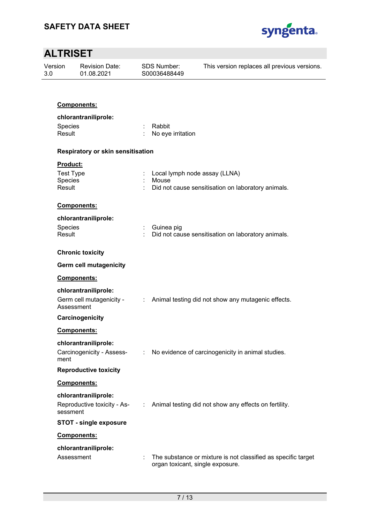

| Version<br>3.0    | <b>Revision Date:</b><br>01.08.2021 | <b>SDS Number:</b><br>S00036488449                                                                                                                                                                                                                                                                                                                                                                                            | This version replaces all previous versions.                                                      |
|-------------------|-------------------------------------|-------------------------------------------------------------------------------------------------------------------------------------------------------------------------------------------------------------------------------------------------------------------------------------------------------------------------------------------------------------------------------------------------------------------------------|---------------------------------------------------------------------------------------------------|
|                   | Components:                         |                                                                                                                                                                                                                                                                                                                                                                                                                               |                                                                                                   |
|                   | chlorantraniliprole:                |                                                                                                                                                                                                                                                                                                                                                                                                                               |                                                                                                   |
| Species           |                                     | Rabbit                                                                                                                                                                                                                                                                                                                                                                                                                        |                                                                                                   |
| Result            |                                     | No eye irritation                                                                                                                                                                                                                                                                                                                                                                                                             |                                                                                                   |
|                   | Respiratory or skin sensitisation   |                                                                                                                                                                                                                                                                                                                                                                                                                               |                                                                                                   |
| Product:          |                                     |                                                                                                                                                                                                                                                                                                                                                                                                                               |                                                                                                   |
| <b>Test Type</b>  |                                     |                                                                                                                                                                                                                                                                                                                                                                                                                               | Local lymph node assay (LLNA)                                                                     |
| Species<br>Result |                                     | Mouse                                                                                                                                                                                                                                                                                                                                                                                                                         | Did not cause sensitisation on laboratory animals.                                                |
|                   |                                     |                                                                                                                                                                                                                                                                                                                                                                                                                               |                                                                                                   |
|                   | Components:                         |                                                                                                                                                                                                                                                                                                                                                                                                                               |                                                                                                   |
|                   | chlorantraniliprole:                |                                                                                                                                                                                                                                                                                                                                                                                                                               |                                                                                                   |
| Species           |                                     | Guinea pig                                                                                                                                                                                                                                                                                                                                                                                                                    |                                                                                                   |
| Result            |                                     |                                                                                                                                                                                                                                                                                                                                                                                                                               | Did not cause sensitisation on laboratory animals.                                                |
|                   | <b>Chronic toxicity</b>             |                                                                                                                                                                                                                                                                                                                                                                                                                               |                                                                                                   |
|                   | <b>Germ cell mutagenicity</b>       |                                                                                                                                                                                                                                                                                                                                                                                                                               |                                                                                                   |
|                   | Components:                         |                                                                                                                                                                                                                                                                                                                                                                                                                               |                                                                                                   |
|                   | chlorantraniliprole:                |                                                                                                                                                                                                                                                                                                                                                                                                                               |                                                                                                   |
|                   | Germ cell mutagenicity -            |                                                                                                                                                                                                                                                                                                                                                                                                                               | : Animal testing did not show any mutagenic effects.                                              |
|                   | Assessment                          |                                                                                                                                                                                                                                                                                                                                                                                                                               |                                                                                                   |
|                   | Carcinogenicity                     |                                                                                                                                                                                                                                                                                                                                                                                                                               |                                                                                                   |
|                   | <b>Components:</b>                  |                                                                                                                                                                                                                                                                                                                                                                                                                               |                                                                                                   |
|                   | chlorantraniliprole:                |                                                                                                                                                                                                                                                                                                                                                                                                                               |                                                                                                   |
|                   | Carcinogenicity - Assess-           | $\mathcal{I}^{\mathcal{I}^{\mathcal{I}^{\mathcal{I}^{\mathcal{I}^{\mathcal{I}^{\mathcal{I}^{\mathcal{I}^{\mathcal{I}^{\mathcal{I}^{\mathcal{I}^{\mathcal{I}^{\mathcal{I}^{\mathcal{I}^{\mathcal{I}^{\mathcal{I}^{\mathcal{I}^{\mathcal{I}^{\mathcal{I}^{\mathcal{I}^{\mathcal{I}^{\mathcal{I}^{\mathcal{I}^{\mathcal{I}^{\mathcal{I}^{\mathcal{I}^{\mathcal{I}^{\mathcal{I}^{\mathcal{I}^{\mathcal{I}^{\mathcal{I}^{\mathcal$ | No evidence of carcinogenicity in animal studies.                                                 |
| ment              |                                     |                                                                                                                                                                                                                                                                                                                                                                                                                               |                                                                                                   |
|                   | <b>Reproductive toxicity</b>        |                                                                                                                                                                                                                                                                                                                                                                                                                               |                                                                                                   |
|                   | Components:                         |                                                                                                                                                                                                                                                                                                                                                                                                                               |                                                                                                   |
|                   | chlorantraniliprole:                |                                                                                                                                                                                                                                                                                                                                                                                                                               |                                                                                                   |
|                   | Reproductive toxicity - As-         |                                                                                                                                                                                                                                                                                                                                                                                                                               | : Animal testing did not show any effects on fertility.                                           |
| sessment          | <b>STOT - single exposure</b>       |                                                                                                                                                                                                                                                                                                                                                                                                                               |                                                                                                   |
|                   | Components:                         |                                                                                                                                                                                                                                                                                                                                                                                                                               |                                                                                                   |
|                   |                                     |                                                                                                                                                                                                                                                                                                                                                                                                                               |                                                                                                   |
|                   | chlorantraniliprole:                |                                                                                                                                                                                                                                                                                                                                                                                                                               |                                                                                                   |
|                   | Assessment                          |                                                                                                                                                                                                                                                                                                                                                                                                                               | The substance or mixture is not classified as specific target<br>organ toxicant, single exposure. |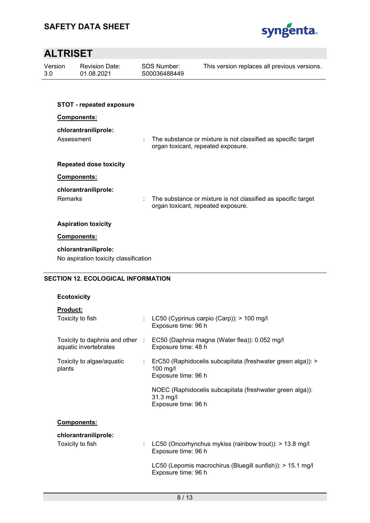

| Version<br>3.0 |            | <b>Revision Date:</b><br>01.08.2021                           | <b>SDS Number:</b><br>S00036488449 | This version replaces all previous versions.                  |
|----------------|------------|---------------------------------------------------------------|------------------------------------|---------------------------------------------------------------|
|                |            |                                                               |                                    |                                                               |
|                |            | <b>STOT - repeated exposure</b>                               |                                    |                                                               |
|                |            | Components:                                                   |                                    |                                                               |
|                | Assessment | chlorantraniliprole:                                          | organ toxicant, repeated exposure. | The substance or mixture is not classified as specific target |
|                |            | <b>Repeated dose toxicity</b>                                 |                                    |                                                               |
|                |            | <b>Components:</b>                                            |                                    |                                                               |
|                |            | chlorantraniliprole:                                          |                                    |                                                               |
|                | Remarks    |                                                               | organ toxicant, repeated exposure. | The substance or mixture is not classified as specific target |
|                |            | <b>Aspiration toxicity</b>                                    |                                    |                                                               |
|                |            | Components:                                                   |                                    |                                                               |
|                |            | chlorantraniliprole:<br>No aspiration toxicity classification |                                    |                                                               |

# **SECTION 12. ECOLOGICAL INFORMATION**

### **Ecotoxicity**

| <b>Product:</b>                                          |                                                                                                    |
|----------------------------------------------------------|----------------------------------------------------------------------------------------------------|
| Toxicity to fish                                         | : LC50 (Cyprinus carpio (Carp)): > 100 mg/l<br>Exposure time: 96 h                                 |
| Toxicity to daphnia and other :<br>aquatic invertebrates | EC50 (Daphnia magna (Water flea)): 0.052 mg/l<br>Exposure time: 48 h                               |
| Toxicity to algae/aquatic<br>plants                      | : ErC50 (Raphidocelis subcapitata (freshwater green alga)): ><br>$100$ mg/l<br>Exposure time: 96 h |
|                                                          | NOEC (Raphidocelis subcapitata (freshwater green alga)):<br>$31.3$ mg/l<br>Exposure time: 96 h     |
| Components:                                              |                                                                                                    |
| chlorantraniliprole:                                     |                                                                                                    |
| Toxicity to fish                                         | LC50 (Oncorhynchus mykiss (rainbow trout)): > 13.8 mg/l                                            |

Exposure time: 96 h LC50 (Lepomis macrochirus (Bluegill sunfish)): > 15.1 mg/l Exposure time: 96 h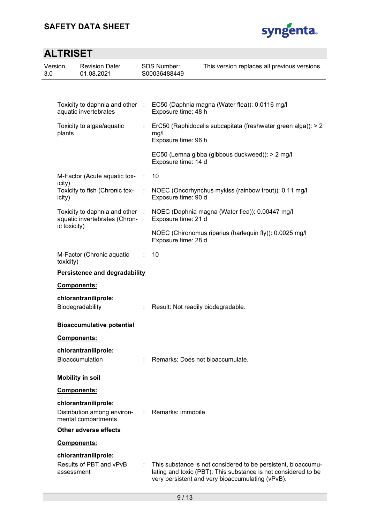

| 3.0 | Version      | <b>Revision Date:</b><br>01.08.2021                              | <b>SDS Number:</b><br>S00036488449 | This version replaces all previous versions.                                                                                                                                        |
|-----|--------------|------------------------------------------------------------------|------------------------------------|-------------------------------------------------------------------------------------------------------------------------------------------------------------------------------------|
|     |              |                                                                  |                                    |                                                                                                                                                                                     |
|     |              | Toxicity to daphnia and other<br>aquatic invertebrates           | Exposure time: 48 h                | EC50 (Daphnia magna (Water flea)): 0.0116 mg/l                                                                                                                                      |
|     | plants       | Toxicity to algae/aquatic                                        | mg/l<br>Exposure time: 96 h        | ErC50 (Raphidocelis subcapitata (freshwater green alga)): > 2                                                                                                                       |
|     |              |                                                                  | Exposure time: 14 d                | EC50 (Lemna gibba (gibbous duckweed)): > 2 mg/l                                                                                                                                     |
|     | icity)       | M-Factor (Acute aquatic tox-                                     | 10                                 |                                                                                                                                                                                     |
|     | icity)       | Toxicity to fish (Chronic tox-                                   | Exposure time: 90 d                | NOEC (Oncorhynchus mykiss (rainbow trout)): 0.11 mg/l                                                                                                                               |
|     |              | Toxicity to daphnia and other :<br>aquatic invertebrates (Chron- | Exposure time: 21 d                | NOEC (Daphnia magna (Water flea)): 0.00447 mg/l                                                                                                                                     |
|     | ic toxicity) |                                                                  | Exposure time: 28 d                | NOEC (Chironomus riparius (harlequin fly)): 0.0025 mg/l                                                                                                                             |
|     | toxicity)    | M-Factor (Chronic aquatic                                        | 10                                 |                                                                                                                                                                                     |
|     |              | <b>Persistence and degradability</b>                             |                                    |                                                                                                                                                                                     |
|     |              | Components:                                                      |                                    |                                                                                                                                                                                     |
|     |              | chlorantraniliprole:<br>Biodegradability                         | Result: Not readily biodegradable. |                                                                                                                                                                                     |
|     |              | <b>Bioaccumulative potential</b>                                 |                                    |                                                                                                                                                                                     |
|     |              | <b>Components:</b>                                               |                                    |                                                                                                                                                                                     |
|     |              | chlorantraniliprole:<br>Bioaccumulation                          | Remarks: Does not bioaccumulate.   |                                                                                                                                                                                     |
|     |              | <b>Mobility in soil</b>                                          |                                    |                                                                                                                                                                                     |
|     |              | Components:                                                      |                                    |                                                                                                                                                                                     |
|     |              | chlorantraniliprole:                                             |                                    |                                                                                                                                                                                     |
|     |              | Distribution among environ-<br>mental compartments               | Remarks: immobile                  |                                                                                                                                                                                     |
|     |              | <b>Other adverse effects</b>                                     |                                    |                                                                                                                                                                                     |
|     |              | Components:                                                      |                                    |                                                                                                                                                                                     |
|     |              | chlorantraniliprole:                                             |                                    |                                                                                                                                                                                     |
|     | assessment   | Results of PBT and vPvB                                          |                                    | This substance is not considered to be persistent, bioaccumu-<br>lating and toxic (PBT). This substance is not considered to be<br>very persistent and very bioaccumulating (vPvB). |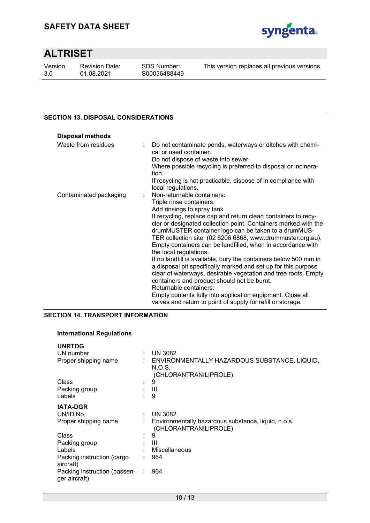

Version 3.0

Revision Date: 01.08.2021

This version replaces all previous versions.

# **SECTION 13. DISPOSAL CONSIDERATIONS**

| <b>Disposal methods</b> |                                                                                                                                                                                                                                                                                                                                                  |
|-------------------------|--------------------------------------------------------------------------------------------------------------------------------------------------------------------------------------------------------------------------------------------------------------------------------------------------------------------------------------------------|
| Waste from residues     | Do not contaminate ponds, waterways or ditches with chemi-<br>t.<br>cal or used container.<br>Do not dispose of waste into sewer.<br>Where possible recycling is preferred to disposal or incinera-                                                                                                                                              |
|                         | tion.                                                                                                                                                                                                                                                                                                                                            |
|                         | If recycling is not practicable, dispose of in compliance with<br>local regulations.                                                                                                                                                                                                                                                             |
| Contaminated packaging  | Non-returnable containers:                                                                                                                                                                                                                                                                                                                       |
|                         | Triple rinse containers.                                                                                                                                                                                                                                                                                                                         |
|                         | Add rinsings to spray tank                                                                                                                                                                                                                                                                                                                       |
|                         | If recycling, replace cap and return clean containers to recy-<br>cler or designated collection point. Containers marked with the<br>drumMUSTER container logo can be taken to a drumMUS-<br>TER collection site (02 6206 6868, www.drummuster.org.au).<br>Empty containers can be landfilled, when in accordance with<br>the local regulations. |
|                         | If no landfill is available, bury the containers below 500 mm in<br>a disposal pit specifically marked and set up for this purpose<br>clear of waterways, desirable vegetation and tree roots. Empty<br>containers and product should not be burnt.<br>Returnable containers:                                                                    |
|                         | Empty contents fully into application equipment. Close all<br>valves and return to point of supply for refill or storage.                                                                                                                                                                                                                        |

# **SECTION 14. TRANSPORT INFORMATION**

### **International Regulations**

| <b>UNRTDG</b>                                 |                                                                                   |
|-----------------------------------------------|-----------------------------------------------------------------------------------|
| UN number                                     | : $UN 3082$                                                                       |
| Proper shipping name                          | : ENVIRONMENTALLY HAZARDOUS SUBSTANCE, LIQUID,<br>N.O.S.<br>(CHLORANTRANILIPROLE) |
| Class                                         | 9                                                                                 |
| Packing group                                 | : III                                                                             |
| Labels                                        | 9                                                                                 |
| <b>IATA-DGR</b>                               |                                                                                   |
| UN/ID No.                                     | <b>UN 3082</b>                                                                    |
| Proper shipping name                          | Environmentally hazardous substance, liquid, n.o.s.<br>(CHLORANTRANILIPROLE)      |
| Class                                         | 9                                                                                 |
| Packing group                                 | -III                                                                              |
| Labels                                        | Miscellaneous                                                                     |
| Packing instruction (cargo<br>aircraft)       | 964                                                                               |
| Packing instruction (passen-<br>ger aircraft) | 964                                                                               |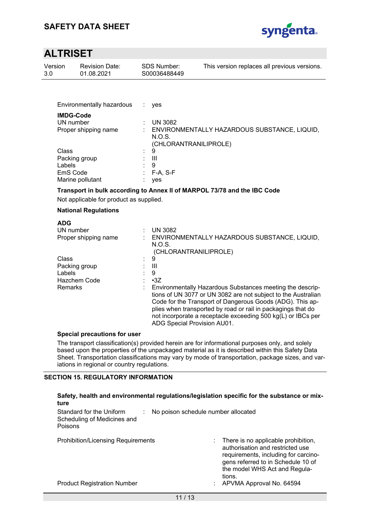

| Version<br>3.0                | <b>Revision Date:</b><br>01.08.2021                                                  | <b>SDS Number:</b><br>S00036488449                                                                                    | This version replaces all previous versions.                                                                                                                                                                                                                                                                                                                            |
|-------------------------------|--------------------------------------------------------------------------------------|-----------------------------------------------------------------------------------------------------------------------|-------------------------------------------------------------------------------------------------------------------------------------------------------------------------------------------------------------------------------------------------------------------------------------------------------------------------------------------------------------------------|
|                               |                                                                                      |                                                                                                                       |                                                                                                                                                                                                                                                                                                                                                                         |
|                               | Environmentally hazardous                                                            | ÷<br>yes                                                                                                              |                                                                                                                                                                                                                                                                                                                                                                         |
|                               | <b>IMDG-Code</b><br>UN number<br>Proper shipping name                                | <b>UN 3082</b><br>N.O.S.<br>(CHLORANTRANILIPROLE)                                                                     | : ENVIRONMENTALLY HAZARDOUS SUBSTANCE, LIQUID,                                                                                                                                                                                                                                                                                                                          |
| Class<br>Labels               | Packing group<br>EmS Code<br>Marine pollutant                                        | 9<br>$\mathbf{III}$<br>9<br>$F-A, S-F$<br>yes                                                                         |                                                                                                                                                                                                                                                                                                                                                                         |
|                               | Not applicable for product as supplied.                                              |                                                                                                                       | Transport in bulk according to Annex II of MARPOL 73/78 and the IBC Code                                                                                                                                                                                                                                                                                                |
|                               | <b>National Regulations</b>                                                          |                                                                                                                       |                                                                                                                                                                                                                                                                                                                                                                         |
| <b>ADG</b><br>Class<br>Labels | UN number<br>Proper shipping name<br>Packing group<br>Hazchem Code<br><b>Remarks</b> | <b>UN 3082</b><br>N.O.S.<br>(CHLORANTRANILIPROLE)<br>9<br>$\mathbf{III}$<br>9<br>$-3Z$<br>ADG Special Provision AU01. | ENVIRONMENTALLY HAZARDOUS SUBSTANCE, LIQUID,<br>Environmentally Hazardous Substances meeting the descrip-<br>tions of UN 3077 or UN 3082 are not subject to the Australian<br>Code for the Transport of Dangerous Goods (ADG). This ap-<br>plies when transported by road or rail in packagings that do<br>not incorporate a receptacle exceeding 500 kg(L) or IBCs per |
|                               | <b>Special precautions for user</b><br>iations in regional or country regulations.   |                                                                                                                       | The transport classification(s) provided herein are for informational purposes only, and solely<br>based upon the properties of the unpackaged material as it is described within this Safety Data<br>Sheet. Transportation classifications may vary by mode of transportation, package sizes, and var-                                                                 |
| ture                          | <b>SECTION 15. REGULATORY INFORMATION</b>                                            |                                                                                                                       | Safety, health and environmental regulations/legislation specific for the substance or mix-                                                                                                                                                                                                                                                                             |
| Poisons                       | Standard for the Uniform<br>Scheduling of Medicines and                              |                                                                                                                       | No poison schedule number allocated                                                                                                                                                                                                                                                                                                                                     |
|                               | <b>Prohibition/Licensing Requirements</b>                                            |                                                                                                                       | There is no applicable prohibition,                                                                                                                                                                                                                                                                                                                                     |

Product Registration Number **1988** CHA CHANGE: APVMA Approval No. 64594

authorisation and restricted use requirements, including for carcinogens referred to in Schedule 10 of the model WHS Act and Regula-

tions.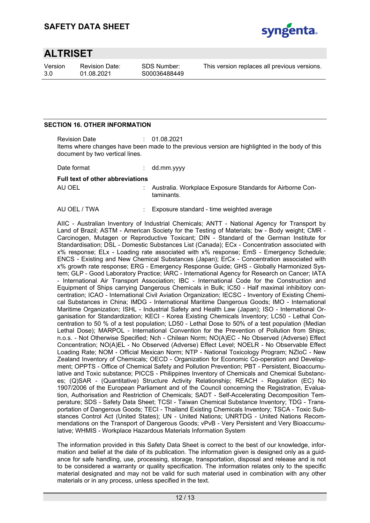

Version 3.0

Revision Date: 01.08.2021

SDS Number: S00036488449 This version replaces all previous versions.

### **SECTION 16. OTHER INFORMATION**

Revision Date : 01.08.2021 Items where changes have been made to the previous version are highlighted in the body of this document by two vertical lines.

Date format : dd.mm.yyyy

#### **Full text of other abbreviations**

AU OEL : Australia. Workplace Exposure Standards for Airborne Contaminants.

AU OEL / TWA : Exposure standard - time weighted average

AIIC - Australian Inventory of Industrial Chemicals; ANTT - National Agency for Transport by Land of Brazil; ASTM - American Society for the Testing of Materials; bw - Body weight; CMR - Carcinogen, Mutagen or Reproductive Toxicant; DIN - Standard of the German Institute for Standardisation; DSL - Domestic Substances List (Canada); ECx - Concentration associated with x% response; ELx - Loading rate associated with x% response; EmS - Emergency Schedule; ENCS - Existing and New Chemical Substances (Japan); ErCx - Concentration associated with x% growth rate response; ERG - Emergency Response Guide; GHS - Globally Harmonized System; GLP - Good Laboratory Practice; IARC - International Agency for Research on Cancer; IATA - International Air Transport Association; IBC - International Code for the Construction and Equipment of Ships carrying Dangerous Chemicals in Bulk; IC50 - Half maximal inhibitory concentration; ICAO - International Civil Aviation Organization; IECSC - Inventory of Existing Chemical Substances in China; IMDG - International Maritime Dangerous Goods; IMO - International Maritime Organization; ISHL - Industrial Safety and Health Law (Japan); ISO - International Organisation for Standardization; KECI - Korea Existing Chemicals Inventory; LC50 - Lethal Concentration to 50 % of a test population; LD50 - Lethal Dose to 50% of a test population (Median Lethal Dose); MARPOL - International Convention for the Prevention of Pollution from Ships; n.o.s. - Not Otherwise Specified; Nch - Chilean Norm; NO(A)EC - No Observed (Adverse) Effect Concentration; NO(A)EL - No Observed (Adverse) Effect Level; NOELR - No Observable Effect Loading Rate; NOM - Official Mexican Norm; NTP - National Toxicology Program; NZIoC - New Zealand Inventory of Chemicals; OECD - Organization for Economic Co-operation and Development; OPPTS - Office of Chemical Safety and Pollution Prevention; PBT - Persistent, Bioaccumulative and Toxic substance; PICCS - Philippines Inventory of Chemicals and Chemical Substances; (Q)SAR - (Quantitative) Structure Activity Relationship; REACH - Regulation (EC) No 1907/2006 of the European Parliament and of the Council concerning the Registration, Evaluation, Authorisation and Restriction of Chemicals; SADT - Self-Accelerating Decomposition Temperature; SDS - Safety Data Sheet; TCSI - Taiwan Chemical Substance Inventory; TDG - Transportation of Dangerous Goods; TECI - Thailand Existing Chemicals Inventory; TSCA - Toxic Substances Control Act (United States); UN - United Nations; UNRTDG - United Nations Recommendations on the Transport of Dangerous Goods; vPvB - Very Persistent and Very Bioaccumulative; WHMIS - Workplace Hazardous Materials Information System

The information provided in this Safety Data Sheet is correct to the best of our knowledge, information and belief at the date of its publication. The information given is designed only as a guidance for safe handling, use, processing, storage, transportation, disposal and release and is not to be considered a warranty or quality specification. The information relates only to the specific material designated and may not be valid for such material used in combination with any other materials or in any process, unless specified in the text.